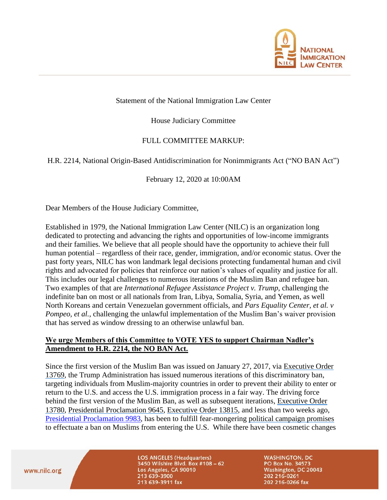

#### Statement of the National Immigration Law Center

House Judiciary Committee

# FULL COMMITTEE MARKUP:

### H.R. 2214, National Origin-Based Antidiscrimination for Nonimmigrants Act ("NO BAN Act")

February 12, 2020 at 10:00AM

Dear Members of the House Judiciary Committee,

Established in 1979, the National Immigration Law Center (NILC) is an organization long dedicated to protecting and advancing the rights and opportunities of low-income immigrants and their families. We believe that all people should have the opportunity to achieve their full human potential – regardless of their race, gender, immigration, and/or economic status. Over the past forty years, NILC has won landmark legal decisions protecting fundamental human and civil rights and advocated for policies that reinforce our nation's values of equality and justice for all. This includes our legal challenges to numerous iterations of the Muslim Ban and refugee ban. Two examples of that are *International Refugee Assistance Project v. Trump*, challenging the indefinite ban on most or all nationals from Iran, Libya, Somalia, Syria, and Yemen, as well North Koreans and certain Venezuelan government officials, and *Pars Equality Center, et al. v Pompeo, et al.*, challenging the unlawful implementation of the Muslim Ban's waiver provision that has served as window dressing to an otherwise unlawful ban.

### **We urge Members of this Committee to VOTE YES to support Chairman Nadler's Amendment to H.R. 2214, the NO BAN Act.**

Since the first version of the Muslim Ban was issued on January 27, 2017, via [Executive Order](https://www.whitehouse.gov/presidential-actions/executive-order-protecting-nation-foreign-terrorist-entry-united-states/)  [13769,](https://www.whitehouse.gov/presidential-actions/executive-order-protecting-nation-foreign-terrorist-entry-united-states/) the Trump Administration has issued numerous iterations of this discriminatory ban, targeting individuals from Muslim-majority countries in order to prevent their ability to enter or return to the U.S. and access the U.S. immigration process in a fair way. The driving force behind the first version of the Muslim Ban, as well as subsequent iterations, [Executive Order](https://www.whitehouse.gov/presidential-actions/executive-order-protecting-nation-foreign-terrorist-entry-united-states-2/)  [13780,](https://www.whitehouse.gov/presidential-actions/executive-order-protecting-nation-foreign-terrorist-entry-united-states-2/) [Presidential Proclamation 9645,](https://www.whitehouse.gov/presidential-actions/presidential-proclamation-enhancing-vetting-capabilities-processes-detecting-attempted-entry-united-states-terrorists-public-safety-threats/) [Executive Order 13815,](https://www.whitehouse.gov/presidential-actions/presidential-executive-order-resuming-united-states-refugee-admissions-program-enhanced-vetting-capabilities/) and less than two weeks ago, [Presidential Proclamation](https://www.whitehouse.gov/presidential-actions/proclamation-improving-enhanced-vetting-capabilities-processes-detecting-attempted-entry/) 9983, has been to fulfill fear-mongering [political campaign promises](https://www.washingtonpost.com/news/post-politics/wp/2015/12/07/donald-trump-calls-for-total-and-complete-shutdown-of-muslims-entering-the-united-states/) to effectuate a ban on Muslims from entering the U.S. While there have been cosmetic changes

www.nilc.org

**LOS ANGELES (Headquarters)** 3450 Wilshire Blvd. Box #108 - 62 Los Angeles, CA 90010 213 639-3900 213 639-3911 fax

**WASHINGTON, DC** PO Box No. 34573 Washington, DC 20043 202 216-0261 202 216-0266 fax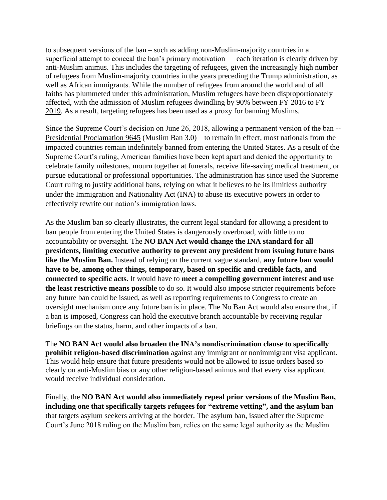to subsequent versions of the ban – such as adding non-Muslim-majority countries in a superficial attempt to conceal the ban's primary motivation — each iteration is clearly driven by anti-Muslim animus. This includes the targeting of refugees, given the increasingly high number of refugees from Muslim-majority countries in the years preceding the Trump administration, as well as African immigrants. While the number of refugees from around the world and of all faiths has plummeted under this administration, Muslim refugees have been disproportionately affected, with the [admission of Muslim refugees dwindling by 90% between FY 2016 to FY](https://www.washingtonpost.com/world/national-security/number-of-refugees-down-sharply-again-under-restrictions-set-by-trump-administration/2019/04/02/94251ef4-54b7-11e9-814f-e2f46684196e_story.html)  [2019.](https://www.washingtonpost.com/world/national-security/number-of-refugees-down-sharply-again-under-restrictions-set-by-trump-administration/2019/04/02/94251ef4-54b7-11e9-814f-e2f46684196e_story.html) As a result, targeting refugees has been used as a proxy for banning Muslims.

Since the Supreme Court's decision on June 26, 2018, allowing a permanent version of the ban -- [Presidential Proclamation 9645](https://www.whitehouse.gov/presidential-actions/presidential-proclamation-enhancing-vetting-capabilities-processes-detecting-attempted-entry-united-states-terrorists-public-safety-threats/) (Muslim Ban 3.0) – to remain in effect, most nationals from the impacted countries remain indefinitely banned from entering the United States. As a result of the Supreme Court's ruling, American families have been kept apart and denied the opportunity to celebrate family milestones, mourn together at funerals, receive life-saving medical treatment, or pursue educational or professional opportunities. The administration has since used the Supreme Court ruling to justify additional bans, relying on what it believes to be its limitless authority under the Immigration and Nationality Act (INA) to abuse its executive powers in order to effectively rewrite our nation's immigration laws.

As the Muslim ban so clearly illustrates, the current legal standard for allowing a president to ban people from entering the United States is dangerously overbroad, with little to no accountability or oversight. The **NO BAN Act would change the INA standard for all presidents, limiting executive authority to prevent any president from issuing future bans like the Muslim Ban.** Instead of relying on the current vague standard, **any future ban would have to be, among other things, temporary, based on specific and credible facts, and connected to specific acts**. It would have to **meet a compelling government interest and use the least restrictive means possible** to do so. It would also impose stricter requirements before any future ban could be issued, as well as reporting requirements to Congress to create an oversight mechanism once any future ban is in place. The No Ban Act would also ensure that, if a ban is imposed, Congress can hold the executive branch accountable by receiving regular briefings on the status, harm, and other impacts of a ban.

The **NO BAN Act would also broaden the INA's nondiscrimination clause to specifically prohibit religion-based discrimination** against any immigrant or nonimmigrant visa applicant. This would help ensure that future presidents would not be allowed to issue orders based so clearly on anti-Muslim bias or any other religion-based animus and that every visa applicant would receive individual consideration.

Finally, the **NO BAN Act would also immediately repeal prior versions of the Muslim Ban, including one that specifically targets refugees for "extreme vetting", and the asylum ban** that targets asylum seekers arriving at the border. The asylum ban, issued after the Supreme Court's June 2018 ruling on the Muslim ban, relies on the same legal authority as the Muslim